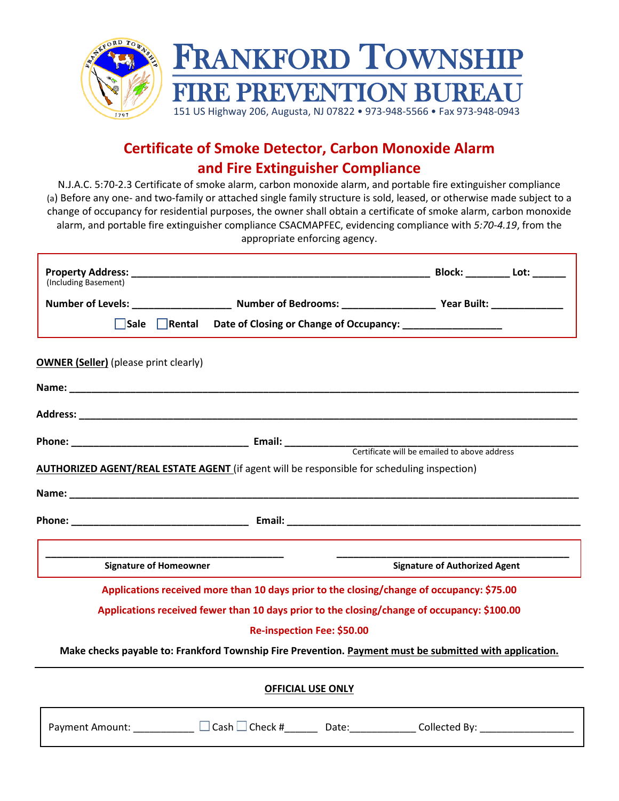

### **Certificate of Smoke Detector, Carbon Monoxide Alarm and Fire Extinguisher Compliance**

N.J.A.C. 5:70-2.3 Certificate of smoke alarm, carbon monoxide alarm, and portable fire extinguisher compliance (a) Before any one- and two-family or attached single family structure is sold, leased, or otherwise made subject to a change of occupancy for residential purposes, the owner shall obtain a certificate of smoke alarm, carbon monoxide alarm, and portable fire extinguisher compliance CSACMAPFEC, evidencing compliance with *5:70-4.19*, from the appropriate enforcing agency.

| (Including Basement)                         |                                                                                                         |                                      |  |
|----------------------------------------------|---------------------------------------------------------------------------------------------------------|--------------------------------------|--|
|                                              |                                                                                                         |                                      |  |
| $\Box$ Sale $\Box$ Rental                    | Date of Closing or Change of Occupancy: ____________________                                            |                                      |  |
| <b>OWNER (Seller)</b> (please print clearly) |                                                                                                         |                                      |  |
|                                              |                                                                                                         |                                      |  |
|                                              |                                                                                                         |                                      |  |
|                                              |                                                                                                         |                                      |  |
|                                              | AUTHORIZED AGENT/REAL ESTATE AGENT (if agent will be responsible for scheduling inspection)             |                                      |  |
|                                              |                                                                                                         |                                      |  |
|                                              |                                                                                                         |                                      |  |
|                                              |                                                                                                         |                                      |  |
|                                              |                                                                                                         |                                      |  |
| <b>Signature of Homeowner</b>                |                                                                                                         | <b>Signature of Authorized Agent</b> |  |
|                                              | Applications received more than 10 days prior to the closing/change of occupancy: \$75.00               |                                      |  |
|                                              |                                                                                                         |                                      |  |
|                                              | Applications received fewer than 10 days prior to the closing/change of occupancy: \$100.00             |                                      |  |
|                                              | Re-inspection Fee: \$50.00                                                                              |                                      |  |
|                                              | Make checks payable to: Frankford Township Fire Prevention. Payment must be submitted with application. |                                      |  |
|                                              | <b>OFFICIAL USE ONLY</b>                                                                                |                                      |  |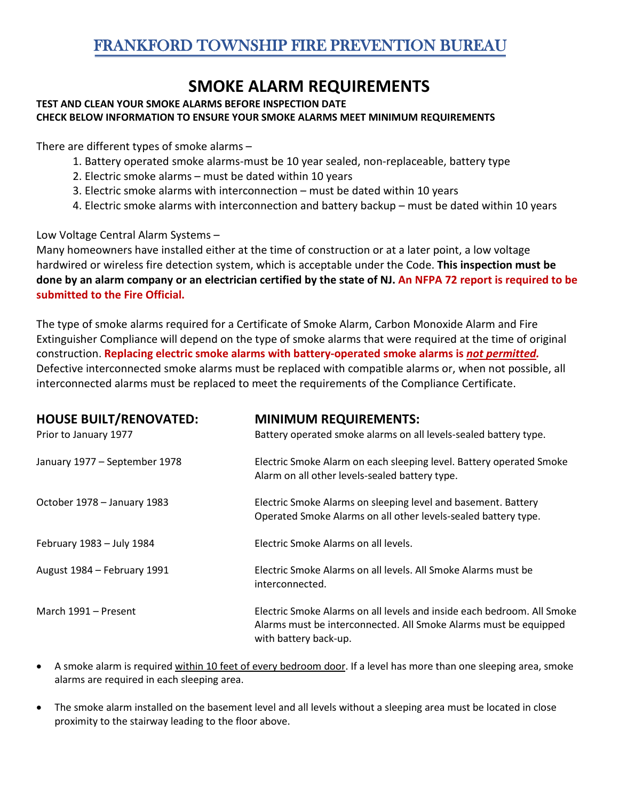# **SMOKE ALARM REQUIREMENTS**

#### **TEST AND CLEAN YOUR SMOKE ALARMS BEFORE INSPECTION DATE CHECK BELOW INFORMATION TO ENSURE YOUR SMOKE ALARMS MEET MINIMUM REQUIREMENTS**

There are different types of smoke alarms –

- 1. Battery operated smoke alarms-must be 10 year sealed, non-replaceable, battery type
- 2. Electric smoke alarms must be dated within 10 years
- 3. Electric smoke alarms with interconnection must be dated within 10 years
- 4. Electric smoke alarms with interconnection and battery backup must be dated within 10 years

Low Voltage Central Alarm Systems –

Many homeowners have installed either at the time of construction or at a later point, a low voltage hardwired or wireless fire detection system, which is acceptable under the Code. **This inspection must be done by an alarm company or an electrician certified by the state of NJ. An NFPA 72 report is required to be submitted to the Fire Official.**

The type of smoke alarms required for a Certificate of Smoke Alarm, Carbon Monoxide Alarm and Fire Extinguisher Compliance will depend on the type of smoke alarms that were required at the time of original construction. **Replacing electric smoke alarms with battery-operated smoke alarms is** *not permitted.* Defective interconnected smoke alarms must be replaced with compatible alarms or, when not possible, all interconnected alarms must be replaced to meet the requirements of the Compliance Certificate.

| <b>HOUSE BUILT/RENOVATED:</b><br>Prior to January 1977 | <b>MINIMUM REQUIREMENTS:</b><br>Battery operated smoke alarms on all levels-sealed battery type.                                                                    |
|--------------------------------------------------------|---------------------------------------------------------------------------------------------------------------------------------------------------------------------|
| January 1977 - September 1978                          | Electric Smoke Alarm on each sleeping level. Battery operated Smoke<br>Alarm on all other levels-sealed battery type.                                               |
| October 1978 - January 1983                            | Electric Smoke Alarms on sleeping level and basement. Battery<br>Operated Smoke Alarms on all other levels-sealed battery type.                                     |
| February 1983 - July 1984                              | Electric Smoke Alarms on all levels.                                                                                                                                |
| August 1984 - February 1991                            | Electric Smoke Alarms on all levels. All Smoke Alarms must be<br>interconnected.                                                                                    |
| March 1991 – Present                                   | Electric Smoke Alarms on all levels and inside each bedroom. All Smoke<br>Alarms must be interconnected. All Smoke Alarms must be equipped<br>with battery back-up. |

- A smoke alarm is required within 10 feet of every bedroom door. If a level has more than one sleeping area, smoke alarms are required in each sleeping area.
- The smoke alarm installed on the basement level and all levels without a sleeping area must be located in close proximity to the stairway leading to the floor above.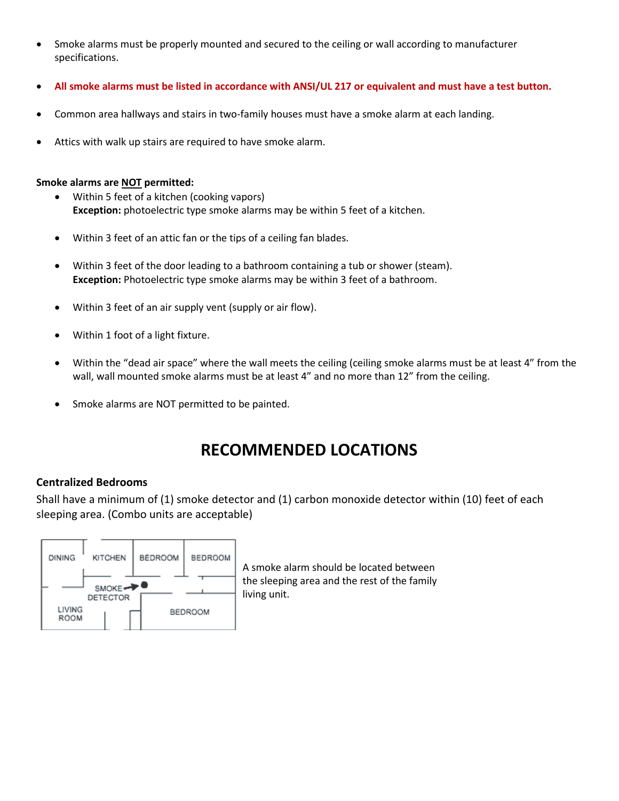- Smoke alarms must be properly mounted and secured to the ceiling or wall according to manufacturer specifications.
- **All smoke alarms must be listed in accordance with ANSI/UL 217 or equivalent and must have a test button.**
- Common area hallways and stairs in two-family houses must have a smoke alarm at each landing.
- Attics with walk up stairs are required to have smoke alarm.

#### **Smoke alarms are NOT permitted:**

- Within 5 feet of a kitchen (cooking vapors) **Exception:** photoelectric type smoke alarms may be within 5 feet of a kitchen.
- Within 3 feet of an attic fan or the tips of a ceiling fan blades.
- Within 3 feet of the door leading to a bathroom containing a tub or shower (steam). **Exception:** Photoelectric type smoke alarms may be within 3 feet of a bathroom.
- Within 3 feet of an air supply vent (supply or air flow).
- Within 1 foot of a light fixture.
- Within the "dead air space" where the wall meets the ceiling (ceiling smoke alarms must be at least 4" from the wall, wall mounted smoke alarms must be at least 4" and no more than 12" from the ceiling.
- Smoke alarms are NOT permitted to be painted.

### **RECOMMENDED LOCATIONS**

#### **Centralized Bedrooms**

Shall have a minimum of (1) smoke detector and (1) carbon monoxide detector within (10) feet of each sleeping area. (Combo units are acceptable)



A smoke alarm should be located between the sleeping area and the rest of the family living unit.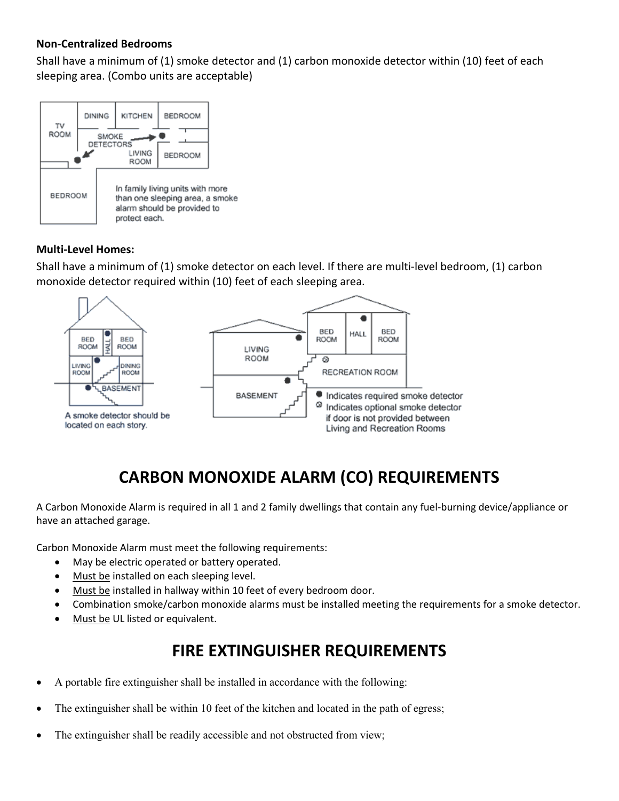### **Non-Centralized Bedrooms**

Shall have a minimum of (1) smoke detector and (1) carbon monoxide detector within (10) feet of each sleeping area. (Combo units are acceptable)



### **Multi-Level Homes:**

Shall have a minimum of (1) smoke detector on each level. If there are multi-level bedroom, (1) carbon monoxide detector required within (10) feet of each sleeping area.



# **CARBON MONOXIDE ALARM (CO) REQUIREMENTS**

A Carbon Monoxide Alarm is required in all 1 and 2 family dwellings that contain any fuel-burning device/appliance or have an attached garage.

Carbon Monoxide Alarm must meet the following requirements:

- May be electric operated or battery operated.
- Must be installed on each sleeping level.
- Must be installed in hallway within 10 feet of every bedroom door.
- Combination smoke/carbon monoxide alarms must be installed meeting the requirements for a smoke detector.
- Must be UL listed or equivalent.

### **FIRE EXTINGUISHER REQUIREMENTS**

- A portable fire extinguisher shall be installed in accordance with the following:
- The extinguisher shall be within 10 feet of the kitchen and located in the path of egress;
- The extinguisher shall be readily accessible and not obstructed from view;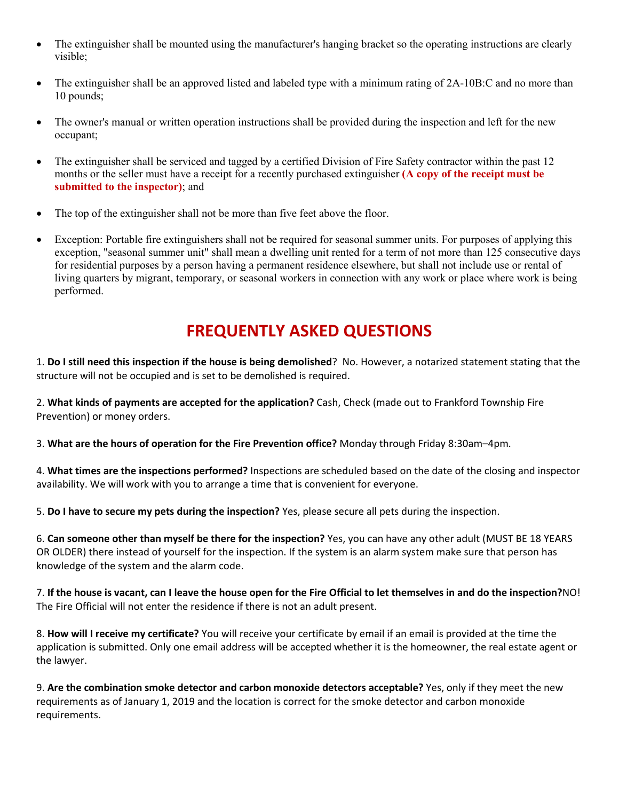- The extinguisher shall be mounted using the manufacturer's hanging bracket so the operating instructions are clearly visible;
- The extinguisher shall be an approved listed and labeled type with a minimum rating of 2A-10B:C and no more than 10 pounds;
- The owner's manual or written operation instructions shall be provided during the inspection and left for the new occupant;
- The extinguisher shall be serviced and tagged by a certified Division of Fire Safety contractor within the past 12 months or the seller must have a receipt for a recently purchased extinguisher **(A copy of the receipt must be submitted to the inspector)**; and
- The top of the extinguisher shall not be more than five feet above the floor.
- Exception: Portable fire extinguishers shall not be required for seasonal summer units. For purposes of applying this exception, "seasonal summer unit" shall mean a dwelling unit rented for a term of not more than 125 consecutive days for residential purposes by a person having a permanent residence elsewhere, but shall not include use or rental of living quarters by migrant, temporary, or seasonal workers in connection with any work or place where work is being performed.

# **FREQUENTLY ASKED QUESTIONS**

1. **Do I still need this inspection if the house is being demolished**? No. However, a notarized statement stating that the structure will not be occupied and is set to be demolished is required.

2. **What kinds of payments are accepted for the application?** Cash, Check (made out to Frankford Township Fire Prevention) or money orders.

3. **What are the hours of operation for the Fire Prevention office?** Monday through Friday 8:30am–4pm.

4. **What times are the inspections performed?** Inspections are scheduled based on the date of the closing and inspector availability. We will work with you to arrange a time that is convenient for everyone.

5. **Do I have to secure my pets during the inspection?** Yes, please secure all pets during the inspection.

6. **Can someone other than myself be there for the inspection?** Yes, you can have any other adult (MUST BE 18 YEARS OR OLDER) there instead of yourself for the inspection. If the system is an alarm system make sure that person has knowledge of the system and the alarm code.

7. **If the house is vacant, can I leave the house open for the Fire Official to let themselves in and do the inspection?**NO! The Fire Official will not enter the residence if there is not an adult present.

8. **How will I receive my certificate?** You will receive your certificate by email if an email is provided at the time the application is submitted. Only one email address will be accepted whether it is the homeowner, the real estate agent or the lawyer.

9. **Are the combination smoke detector and carbon monoxide detectors acceptable?** Yes, only if they meet the new requirements as of January 1, 2019 and the location is correct for the smoke detector and carbon monoxide requirements.